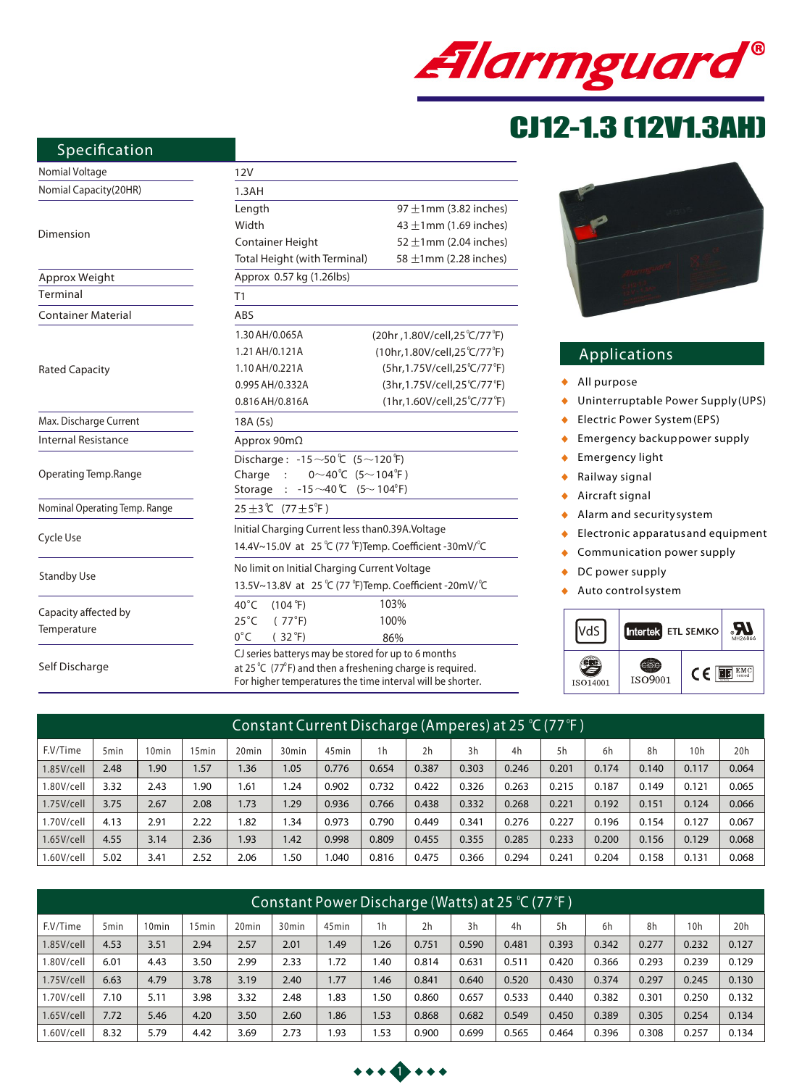

# CJ12-1.3 (12V1.3AH)

#### **Specification**

| Nomial Voltage                | 12V                                                                            |                                 |  |  |  |  |  |  |
|-------------------------------|--------------------------------------------------------------------------------|---------------------------------|--|--|--|--|--|--|
| Nomial Capacity(20HR)         | 1.3AH                                                                          |                                 |  |  |  |  |  |  |
|                               | Length                                                                         | 97 $\pm$ 1mm (3.82 inches)      |  |  |  |  |  |  |
|                               | Width                                                                          | 43 $\pm$ 1mm (1.69 inches)      |  |  |  |  |  |  |
| Dimension                     | Container Height                                                               | 52 $\pm$ 1mm (2.04 inches)      |  |  |  |  |  |  |
|                               | Total Height (with Terminal)<br>58 $\pm$ 1mm (2.28 inches)                     |                                 |  |  |  |  |  |  |
| Approx Weight                 | Approx 0.57 kg (1.26lbs)                                                       |                                 |  |  |  |  |  |  |
| Terminal                      | T1                                                                             |                                 |  |  |  |  |  |  |
| <b>Container Material</b>     | ABS                                                                            |                                 |  |  |  |  |  |  |
|                               | 1.30 AH/0.065A                                                                 | (20hr, 1.80V/cell, 25 °C/77 °F) |  |  |  |  |  |  |
|                               | 1.21 AH/0.121A                                                                 | (10hr,1.80V/cell,25°C/77°F)     |  |  |  |  |  |  |
| <b>Rated Capacity</b>         | 1.10 AH/0.221A                                                                 | (5hr,1.75V/cell,25°C/77°F)      |  |  |  |  |  |  |
|                               | 0.995 AH/0.332A                                                                | (3hr,1.75V/cell,25°C/77°F)      |  |  |  |  |  |  |
|                               | 0.816 AH/0.816A                                                                | (1hr, 1.60V/cell, 25°C/77°F)    |  |  |  |  |  |  |
| Max. Discharge Current        | 18A (5s)                                                                       |                                 |  |  |  |  |  |  |
| <b>Internal Resistance</b>    | Approx $90m\Omega$                                                             |                                 |  |  |  |  |  |  |
|                               | Discharge: -15 ~50 ℃ (5 ~120 °F)                                               |                                 |  |  |  |  |  |  |
| Operating Temp.Range          | $0^\sim 40^\circ C$ (5~104°F)<br>Charge :                                      |                                 |  |  |  |  |  |  |
|                               | $-15 \sim 40$ C $(5 \sim 104$ <sup>o</sup> F)<br>Storage                       |                                 |  |  |  |  |  |  |
| Nominal Operating Temp. Range | 25±3℃ (77±5 <sup>°</sup> F)                                                    |                                 |  |  |  |  |  |  |
|                               | Initial Charging Current less than0.39A.Voltage                                |                                 |  |  |  |  |  |  |
| Cycle Use                     | 14.4V~15.0V at 25 °C (77 °F)Temp. Coefficient -30mV/ °C                        |                                 |  |  |  |  |  |  |
|                               | No limit on Initial Charging Current Voltage                                   |                                 |  |  |  |  |  |  |
| <b>Standby Use</b>            | 13.5V~13.8V at 25 °C (77 °F)Temp. Coefficient -20mV/ °C                        |                                 |  |  |  |  |  |  |
| Capacity affected by          | $40^{\circ}$ C<br>$(104 \text{ }^{\circ}\text{F})$                             | 103%                            |  |  |  |  |  |  |
|                               | $25^{\circ}$ C<br>(77°F)                                                       | 100%                            |  |  |  |  |  |  |
| Temperature                   | $0^{\circ}$ C<br>$(32^{\circ}F)$                                               | 86%                             |  |  |  |  |  |  |
|                               | CJ series batterys may be stored for up to 6 months                            |                                 |  |  |  |  |  |  |
| Self Discharge                | at 25 $^{\circ}$ C (77 $^{\circ}$ F) and then a freshening charge is required. |                                 |  |  |  |  |  |  |

For higher temperatures the time interval will be shorter.



### **Applications**

- *All purpose*  $\blacklozenge$
- *Uninterruptable Power Supply(UPS)*  $\ddot{\bullet}$
- *Electric Power System(EPS)*  $\bullet$
- *Emergency backuppower supply*  $\bullet$
- *Emergency light*  $\bullet$
- *Railway signal*  $\ddot{\bullet}$
- *Aircraft signal*  $\ddot{\bullet}$
- *Alarm and securitysystem*  $\bullet$
- *Electronic apparatus and equipment*  $\bullet$
- *Communication power supply*  $\bullet$
- *DC power supply*  $\blacklozenge$
- *Auto controlsystem*  $\ddot{\bullet}$



| Constant Current Discharge (Amperes) at 25 °C (77 °F) |                  |       |       |                   |                   |                   |                |       |       |       |       |       |       |       |       |
|-------------------------------------------------------|------------------|-------|-------|-------------------|-------------------|-------------------|----------------|-------|-------|-------|-------|-------|-------|-------|-------|
| F.V/Time                                              | 5 <sub>min</sub> | 10min | 15min | 20 <sub>min</sub> | 30 <sub>min</sub> | 45 <sub>min</sub> | 1 <sub>h</sub> | 2h    | 3h    | 4h    | 5h    | 6h    | 8h    | 10h   | 20h   |
| $1.85$ V/cell                                         | 2.48             | .90   | 1.57  | 1.36              | 1.05              | 0.776             | 0.654          | 0.387 | 0.303 | 0.246 | 0.201 | 0.174 | 0.140 | 0.117 | 0.064 |
| 1.80V/cell                                            | 3.32             | 2.43  | 1.90  | 1.61              | .24               | 0.902             | 0.732          | 0.422 | 0.326 | 0.263 | 0.215 | 0.187 | 0.149 | 0.121 | 0.065 |
| 1.75V/cell                                            | 3.75             | 2.67  | 2.08  | 1.73              | .29               | 0.936             | 0.766          | 0.438 | 0.332 | 0.268 | 0.221 | 0.192 | 0.151 | 0.124 | 0.066 |
| l.70V/cell                                            | 4.13             | 2.91  | 2.22  | 1.82              | .34               | 0.973             | 0.790          | 0.449 | 0.341 | 0.276 | 0.227 | 0.196 | 0.154 | 0.127 | 0.067 |
| $1.65$ V/cell                                         | 4.55             | 3.14  | 2.36  | 1.93              | 1.42              | 0.998             | 0.809          | 0.455 | 0.355 | 0.285 | 0.233 | 0.200 | 0.156 | 0.129 | 0.068 |
| .60V/cell                                             | 5.02             | 3.41  | 2.52  | 2.06              | .50               | .040              | 0.816          | 0.475 | 0.366 | 0.294 | 0.241 | 0.204 | 0.158 | 0.131 | 0.068 |

| Constant Power Discharge (Watts) at 25 °C (77 °F ) |                  |                   |       |                   |                   |                   |                |       |       |       |       |       |       |                 |       |
|----------------------------------------------------|------------------|-------------------|-------|-------------------|-------------------|-------------------|----------------|-------|-------|-------|-------|-------|-------|-----------------|-------|
| F.V/Time                                           | 5 <sub>min</sub> | 10 <sub>min</sub> | 15min | 20 <sub>min</sub> | 30 <sub>min</sub> | 45 <sub>min</sub> | 1 <sub>h</sub> | 2h    | 3h    | 4h    | 5h    | 6h    | 8h    | 10 <sub>h</sub> | 20h   |
| $1.85$ V/cell                                      | 4.53             | 3.51              | 2.94  | 2.57              | 2.01              | 1.49              | 1.26           | 0.751 | 0.590 | 0.481 | 0.393 | 0.342 | 0.277 | 0.232           | 0.127 |
| 1.80V/cell                                         | 6.01             | 4.43              | 3.50  | 2.99              | 2.33              | 1.72              | 1.40           | 0.814 | 0.631 | 0.511 | 0.420 | 0.366 | 0.293 | 0.239           | 0.129 |
| $1.75V$ /cell                                      | 6.63             | 4.79              | 3.78  | 3.19              | 2.40              | 1.77              | 1.46           | 0.841 | 0.640 | 0.520 | 0.430 | 0.374 | 0.297 | 0.245           | 0.130 |
| 1.70V/cell                                         | 7.10             | 5.11              | 3.98  | 3.32              | 2.48              | 1.83              | 1.50           | 0.860 | 0.657 | 0.533 | 0.440 | 0.382 | 0.301 | 0.250           | 0.132 |
| $1.65$ V/cell                                      | 7.72             | 5.46              | 4.20  | 3.50              | 2.60              | 1.86              | 1.53           | 0.868 | 0.682 | 0.549 | 0.450 | 0.389 | 0.305 | 0.254           | 0.134 |
| 1.60V/cell                                         | 8.32             | 5.79              | 4.42  | 3.69              | 2.73              | l.93              | 1.53           | 0.900 | 0.699 | 0.565 | 0.464 | 0.396 | 0.308 | 0.257           | 0.134 |